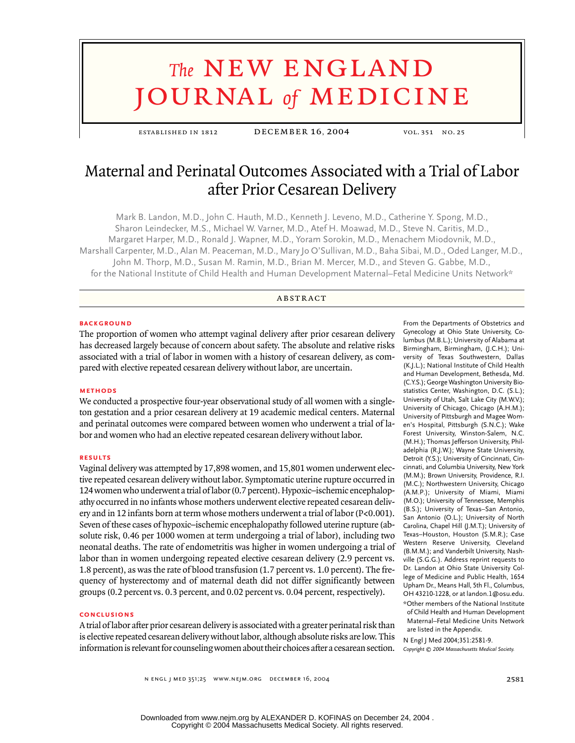# **The NEW ENGLAND** journal *of* medicine

ESTABLISHED IN 1812 DECEMBER 16, 2004 vol. 351 No. 25

## Maternal and Perinatal Outcomes Associated with a Trial of Labor after Prior Cesarean Delivery

Mark B. Landon, M.D., John C. Hauth, M.D., Kenneth J. Leveno, M.D., Catherine Y. Spong, M.D., Sharon Leindecker, M.S., Michael W. Varner, M.D., Atef H. Moawad, M.D., Steve N. Caritis, M.D., Margaret Harper, M.D., Ronald J. Wapner, M.D., Yoram Sorokin, M.D., Menachem Miodovnik, M.D., Marshall Carpenter, M.D., Alan M. Peaceman, M.D., Mary Jo O'Sullivan, M.D., Baha Sibai, M.D., Oded Langer, M.D., John M. Thorp, M.D., Susan M. Ramin, M.D., Brian M. Mercer, M.D., and Steven G. Gabbe, M.D., for the National Institute of Child Health and Human Development Maternal–Fetal Medicine Units Network\*

## abstract

## **BACKGROUND**

The proportion of women who attempt vaginal delivery after prior cesarean delivery has decreased largely because of concern about safety. The absolute and relative risks associated with a trial of labor in women with a history of cesarean delivery, as compared with elective repeated cesarean delivery without labor, are uncertain.

#### **methods**

We conducted a prospective four-year observational study of all women with a singleton gestation and a prior cesarean delivery at 19 academic medical centers. Maternal and perinatal outcomes were compared between women who underwent a trial of labor and women who had an elective repeated cesarean delivery without labor.

## **results**

Vaginal delivery was attempted by 17,898 women, and 15,801 women underwent elective repeated cesarean delivery without labor. Symptomatic uterine rupture occurred in 124 women who underwent a trial of labor (0.7 percent). Hypoxic–ischemic encephalopathy occurred in no infants whose mothers underwent elective repeated cesarean delivery and in 12 infants born at term whose mothers underwent a trial of labor (P<0.001). Seven of these cases of hypoxic–ischemic encephalopathy followed uterine rupture (absolute risk, 0.46 per 1000 women at term undergoing a trial of labor), including two neonatal deaths. The rate of endometritis was higher in women undergoing a trial of labor than in women undergoing repeated elective cesarean delivery (2.9 percent vs. 1.8 percent), as was the rate of blood transfusion (1.7 percent vs. 1.0 percent). The frequency of hysterectomy and of maternal death did not differ significantly between groups (0.2 percent vs. 0.3 percent, and 0.02 percent vs. 0.04 percent, respectively).

## **conclusions**

A trial of labor after prior cesarean delivery is associated with a greater perinatal risk than is elective repeated cesarean delivery without labor, although absolute risks are low. This information is relevant for counseling women about their choices after a cesarean section.

From the Departments of Obstetrics and Gynecology at Ohio State University, Columbus (M.B.L.); University of Alabama at Birmingham, Birmingham, (J.C.H.); University of Texas Southwestern, Dallas (K.J.L.); National Institute of Child Health and Human Development, Bethesda, Md. (C.Y.S.); George Washington University Biostatistics Center, Washington, D.C. (S.L.); University of Utah, Salt Lake City (M.W.V.); University of Chicago, Chicago (A.H.M.); University of Pittsburgh and Magee Women's Hospital, Pittsburgh (S.N.C.); Wake Forest University, Winston-Salem, N.C. (M.H.); Thomas Jefferson University, Philadelphia (R.J.W.); Wayne State University, Detroit (Y.S.); University of Cincinnati, Cincinnati, and Columbia University, New York (M.M.); Brown University, Providence, R.I. (M.C.); Northwestern University, Chicago (A.M.P.); University of Miami, Miami (M.O.); University of Tennessee, Memphis (B.S.); University of Texas–San Antonio, San Antonio (O.L.); University of North Carolina, Chapel Hill (J.M.T.); University of Texas–Houston, Houston (S.M.R.); Case Western Reserve University, Cleveland (B.M.M.); and Vanderbilt University, Nashville (S.G.G.). Address reprint requests to Dr. Landon at Ohio State University College of Medicine and Public Health, 1654 Upham Dr., Means Hall, 5th Fl., Columbus, OH 43210-1228, or at landon.1@osu.edu.

\*Other members of the National Institute of Child Health and Human Development Maternal–Fetal Medicine Units Network are listed in the Appendix.

N Engl J Med 2004;351:2581-9. *Copyright © 2004 Massachusetts Medical Society.*

n engl j med 351;25 www.nejm.org december 16, 2004 2581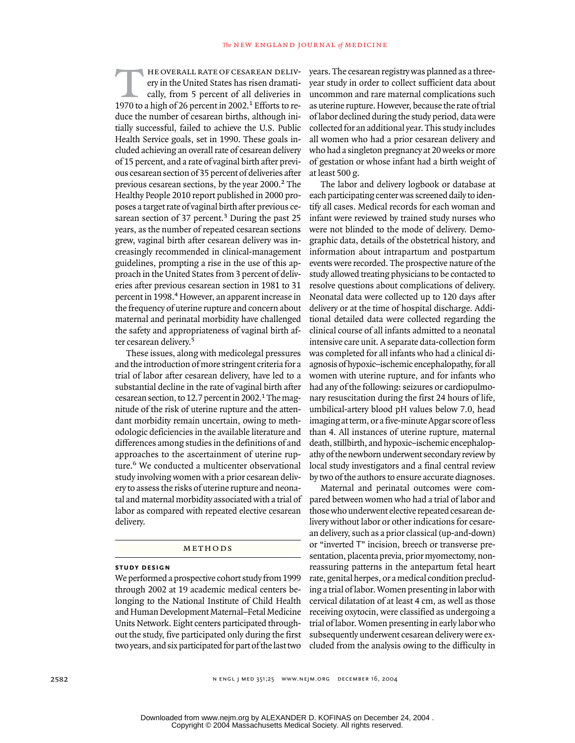he overall rate of cesarean delivery in the United States has risen dramatically, from 5 percent of all deliveries in 1970 to a high of 26 percent in  $2002<sup>1</sup>$  Efforts to reduce the number of cesarean births, although initially successful, failed to achieve the U.S. Public Health Service goals, set in 1990. These goals included achieving an overall rate of cesarean delivery of 15 percent, and a rate of vaginal birth after previous cesarean section of 35 percent of deliveries after previous cesarean sections, by the year 2000.<sup>2</sup> The Healthy People 2010 report published in 2000 proposes a target rate of vaginal birth after previous cesarean section of 37 percent.<sup>3</sup> During the past 25 years, as the number of repeated cesarean sections grew, vaginal birth after cesarean delivery was increasingly recommended in clinical-management guidelines, prompting a rise in the use of this approach in the United States from 3 percent of deliveries after previous cesarean section in 1981 to 31 percent in 1998.4 However, an apparent increase in the frequency of uterine rupture and concern about maternal and perinatal morbidity have challenged the safety and appropriateness of vaginal birth after cesarean delivery.<sup>5</sup>  $\overline{T}$ 

These issues, along with medicolegal pressures and the introduction of more stringent criteria for a trial of labor after cesarean delivery, have led to a substantial decline in the rate of vaginal birth after cesarean section, to 12.7 percent in 2002.<sup>1</sup> The magnitude of the risk of uterine rupture and the attendant morbidity remain uncertain, owing to methodologic deficiencies in the available literature and differences among studies in the definitions of and approaches to the ascertainment of uterine rupture.<sup>6</sup> We conducted a multicenter observational study involving women with a prior cesarean delivery to assess the risks of uterine rupture and neonatal and maternal morbidity associated with a trial of labor as compared with repeated elective cesarean delivery.

### METHODS

## **study design**

We performed a prospective cohort study from 1999 through 2002 at 19 academic medical centers belonging to the National Institute of Child Health and Human Development Maternal–Fetal Medicine Units Network. Eight centers participated throughout the study, five participated only during the first two years, and six participated for part of the last two years. The cesarean registry was planned as a threeyear study in order to collect sufficient data about uncommon and rare maternal complications such as uterine rupture. However, because the rate of trial of labor declined during the study period, data were collected for an additional year. This study includes all women who had a prior cesarean delivery and who had a singleton pregnancy at 20 weeks or more of gestation or whose infant had a birth weight of at least 500 g.

The labor and delivery logbook or database at each participating center was screened daily to identify all cases. Medical records for each woman and infant were reviewed by trained study nurses who were not blinded to the mode of delivery. Demographic data, details of the obstetrical history, and information about intrapartum and postpartum events were recorded. The prospective nature of the study allowed treating physicians to be contacted to resolve questions about complications of delivery. Neonatal data were collected up to 120 days after delivery or at the time of hospital discharge. Additional detailed data were collected regarding the clinical course of all infants admitted to a neonatal intensive care unit. A separate data-collection form was completed for all infants who had a clinical diagnosis of hypoxic–ischemic encephalopathy, for all women with uterine rupture, and for infants who had any of the following: seizures or cardiopulmonary resuscitation during the first 24 hours of life, umbilical-artery blood pH values below 7.0, head imaging at term, or a five-minute Apgar score of less than 4. All instances of uterine rupture, maternal death, stillbirth, and hypoxic–ischemic encephalopathy of the newborn underwent secondary review by local study investigators and a final central review by two of the authors to ensure accurate diagnoses.

Maternal and perinatal outcomes were compared between women who had a trial of labor and those who underwent elective repeated cesarean delivery without labor or other indications for cesarean delivery, such as a prior classical (up-and-down) or "inverted T" incision, breech or transverse presentation, placenta previa, prior myomectomy, nonreassuring patterns in the antepartum fetal heart rate, genital herpes, or a medical condition precluding a trial of labor. Women presenting in labor with cervical dilatation of at least 4 cm, as well as those receiving oxytocin, were classified as undergoing a trial of labor. Women presenting in early labor who subsequently underwent cesarean delivery were excluded from the analysis owing to the difficulty in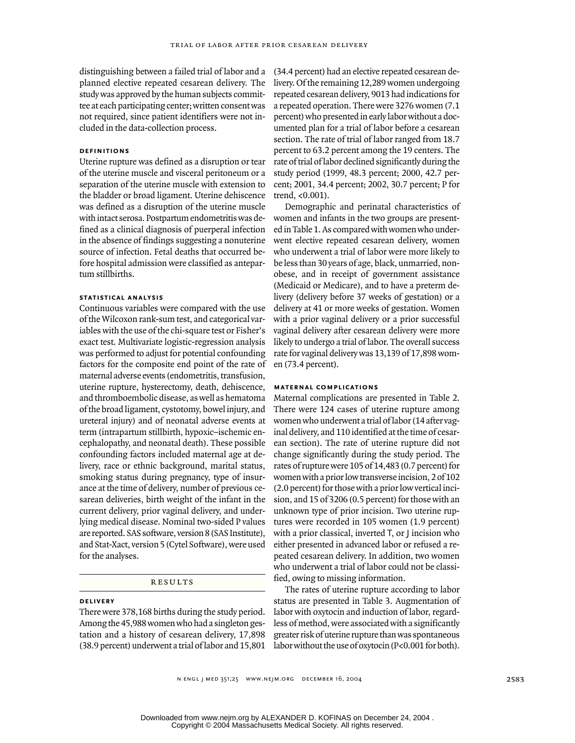distinguishing between a failed trial of labor and a planned elective repeated cesarean delivery. The study was approved by the human subjects committee at each participating center; written consent was not required, since patient identifiers were not included in the data-collection process.

## **definitions**

Uterine rupture was defined as a disruption or tear of the uterine muscle and visceral peritoneum or a separation of the uterine muscle with extension to the bladder or broad ligament. Uterine dehiscence was defined as a disruption of the uterine muscle with intact serosa. Postpartum endometritis was defined as a clinical diagnosis of puerperal infection in the absence of findings suggesting a nonuterine source of infection. Fetal deaths that occurred before hospital admission were classified as antepartum stillbirths.

## **statistical analysis**

Continuous variables were compared with the use of the Wilcoxon rank-sum test, and categorical variables with the use of the chi-square test or Fisher's exact test. Multivariate logistic-regression analysis was performed to adjust for potential confounding factors for the composite end point of the rate of maternal adverse events (endometritis, transfusion, uterine rupture, hysterectomy, death, dehiscence, and thromboembolic disease, as well as hematoma of the broad ligament, cystotomy, bowel injury, and ureteral injury) and of neonatal adverse events at term (intrapartum stillbirth, hypoxic–ischemic encephalopathy, and neonatal death). These possible confounding factors included maternal age at delivery, race or ethnic background, marital status, smoking status during pregnancy, type of insurance at the time of delivery, number of previous cesarean deliveries, birth weight of the infant in the current delivery, prior vaginal delivery, and underlying medical disease. Nominal two-sided P values are reported. SAS software, version 8 (SAS Institute), and Stat-Xact, version 5 (Cytel Software), were used for the analyses.

## **RESULTS**

#### **delivery**

There were 378,168 births during the study period. Among the 45,988 women who had a singleton gestation and a history of cesarean delivery, 17,898 (38.9 percent) underwent a trial of labor and 15,801

(34.4 percent) had an elective repeated cesarean delivery. Of the remaining 12,289 women undergoing repeated cesarean delivery, 9013 had indications for a repeated operation. There were 3276 women (7.1 percent) who presented in early labor without a documented plan for a trial of labor before a cesarean section. The rate of trial of labor ranged from 18.7 percent to 63.2 percent among the 19 centers. The rate of trial of labor declined significantly during the study period (1999, 48.3 percent; 2000, 42.7 percent; 2001, 34.4 percent; 2002, 30.7 percent; P for trend, <0.001).

Demographic and perinatal characteristics of women and infants in the two groups are presented in Table 1. As compared with women who underwent elective repeated cesarean delivery, women who underwent a trial of labor were more likely to be less than 30 years of age, black, unmarried, nonobese, and in receipt of government assistance (Medicaid or Medicare), and to have a preterm delivery (delivery before 37 weeks of gestation) or a delivery at 41 or more weeks of gestation. Women with a prior vaginal delivery or a prior successful vaginal delivery after cesarean delivery were more likely to undergo a trial of labor. The overall success rate for vaginal delivery was 13,139 of 17,898 women (73.4 percent).

## **maternal complications**

Maternal complications are presented in Table 2. There were 124 cases of uterine rupture among women who underwent a trial of labor (14 after vaginal delivery, and 110 identified at the time of cesarean section). The rate of uterine rupture did not change significantly during the study period. The rates of rupture were 105 of 14,483 (0.7 percent) for women with a prior low transverse incision, 2 of 102 (2.0 percent) for those with a prior low vertical incision, and 15 of 3206 (0.5 percent) for those with an unknown type of prior incision. Two uterine ruptures were recorded in 105 women (1.9 percent) with a prior classical, inverted T, or J incision who either presented in advanced labor or refused a repeated cesarean delivery. In addition, two women who underwent a trial of labor could not be classified, owing to missing information.

The rates of uterine rupture according to labor status are presented in Table 3. Augmentation of labor with oxytocin and induction of labor, regardless of method, were associated with a significantly greater risk of uterine rupture than was spontaneous labor without the use of oxytocin (P<0.001 for both).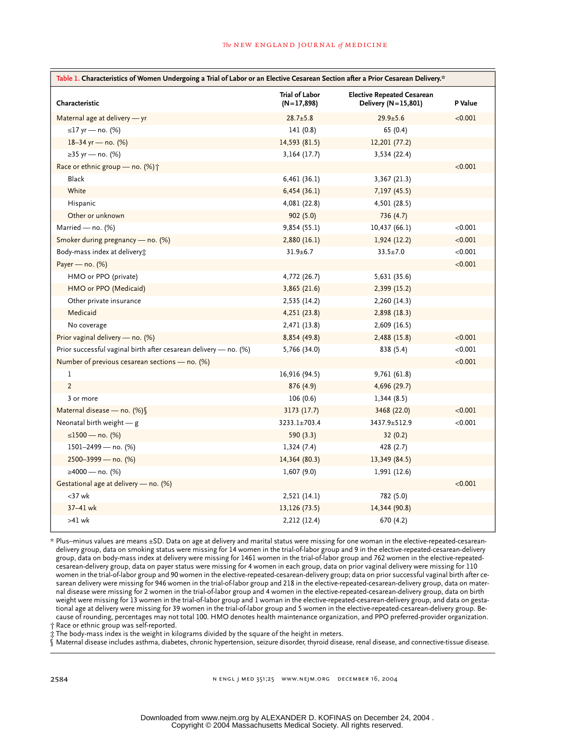| Table 1. Characteristics of Women Undergoing a Trial of Labor or an Elective Cesarean Section after a Prior Cesarean Delivery.* |                                |                                                          |         |
|---------------------------------------------------------------------------------------------------------------------------------|--------------------------------|----------------------------------------------------------|---------|
| Characteristic                                                                                                                  | Trial of Labor<br>$(N=17,898)$ | <b>Elective Repeated Cesarean</b><br>Delivery (N=15,801) | P Value |
| Maternal age at delivery — yr                                                                                                   | $28.7 \pm 5.8$                 | $29.9 + 5.6$                                             | < 0.001 |
| ≤17 yr — no. (%)                                                                                                                | 141(0.8)                       | 65 (0.4)                                                 |         |
| $18-34$ yr - no. (%)                                                                                                            | 14,593 (81.5)                  | 12,201 (77.2)                                            |         |
| ≥35 yr — no. (%)                                                                                                                | $3,164$ (17.7)                 | 3,534 (22.4)                                             |         |
| Race or ethnic group – no. $(\%)\uparrow$                                                                                       |                                |                                                          | < 0.001 |
| <b>Black</b>                                                                                                                    | 6,461(36.1)                    | 3,367 (21.3)                                             |         |
| White                                                                                                                           | 6,454(36.1)                    | 7,197 (45.5)                                             |         |
| Hispanic                                                                                                                        | 4,081 (22.8)                   | 4,501 (28.5)                                             |         |
| Other or unknown                                                                                                                | 902(5.0)                       | 736 (4.7)                                                |         |
| Married - no. (%)                                                                                                               | 9,854(55.1)                    | 10,437(66.1)                                             | < 0.001 |
| Smoker during pregnancy — no. (%)                                                                                               | 2,880(16.1)                    | 1,924(12.2)                                              | < 0.001 |
| Body-mass index at delivery:                                                                                                    | $31.9 + 6.7$                   | $33.5 \pm 7.0$                                           | < 0.001 |
| Payer — $no.$ (%)                                                                                                               |                                |                                                          | < 0.001 |
| HMO or PPO (private)                                                                                                            | 4,772 (26.7)                   | 5,631 (35.6)                                             |         |
| HMO or PPO (Medicaid)                                                                                                           | 3,865(21.6)                    | 2,399 (15.2)                                             |         |
| Other private insurance                                                                                                         | 2,535 (14.2)                   | 2,260 (14.3)                                             |         |
| Medicaid                                                                                                                        | 4,251 (23.8)                   | 2,898 (18.3)                                             |         |
| No coverage                                                                                                                     | 2,471 (13.8)                   | 2,609 (16.5)                                             |         |
| Prior vaginal delivery - no. (%)                                                                                                | 8,854 (49.8)                   | 2,488(15.8)                                              | < 0.001 |
| Prior successful vaginal birth after cesarean delivery - no. (%)                                                                | 5,766 (34.0)                   | 838 (5.4)                                                | < 0.001 |
| Number of previous cesarean sections - no. (%)                                                                                  |                                |                                                          | < 0.001 |
| $\mathbf{1}$                                                                                                                    | 16,916 (94.5)                  | 9,761 (61.8)                                             |         |
| $\overline{2}$                                                                                                                  | 876 (4.9)                      | 4,696 (29.7)                                             |         |
| 3 or more                                                                                                                       | 106(0.6)                       | 1,344(8.5)                                               |         |
| Maternal disease - no. (%)                                                                                                      | 3173 (17.7)                    | 3468 (22.0)                                              | < 0.001 |
| Neonatal birth weight $-$ g                                                                                                     | 3233.1±703.4                   | 3437.9±512.9                                             | < 0.001 |
| ≤1500 — no. (%)                                                                                                                 | 590(3.3)                       | 32(0.2)                                                  |         |
| 1501-2499 - no. $(%)$                                                                                                           | 1,324(7.4)                     | 428 (2.7)                                                |         |
| $2500 - 3999 - no.$ (%)                                                                                                         | 14,364(80.3)                   | 13,349 (84.5)                                            |         |
| ≥4000 — no. (%)                                                                                                                 | 1,607(9.0)                     | 1,991 (12.6)                                             |         |
| Gestational age at delivery $-$ no. (%)                                                                                         |                                |                                                          | < 0.001 |
| $<$ 37 wk                                                                                                                       | 2,521(14.1)                    | 782 (5.0)                                                |         |
| 37-41 wk                                                                                                                        | $13, 126$ (73.5)               | 14,344 (90.8)                                            |         |
| >41 wk                                                                                                                          | 2,212 (12.4)                   | 670 (4.2)                                                |         |

\* Plus–minus values are means ±SD. Data on age at delivery and marital status were missing for one woman in the elective-repeated-cesareandelivery group, data on smoking status were missing for 14 women in the trial-of-labor group and 9 in the elective-repeated-cesarean-delivery group, data on body-mass index at delivery were missing for 1461 women in the trial-of-labor group and 762 women in the elective-repeatedcesarean-delivery group, data on payer status were missing for 4 women in each group, data on prior vaginal delivery were missing for 110 women in the trial-of-labor group and 90 women in the elective-repeated-cesarean-delivery group; data on prior successful vaginal birth after cesarean delivery were missing for 946 women in the trial-of-labor group and 218 in the elective-repeated-cesarean-delivery group, data on maternal disease were missing for 2 women in the trial-of-labor group and 4 women in the elective-repeated-cesarean-delivery group, data on birth weight were missing for 13 women in the trial-of-labor group and 1 woman in the elective-repeated-cesarean-delivery group, and data on gestational age at delivery were missing for 39 women in the trial-of-labor group and 5 women in the elective-repeated-cesarean-delivery group. Because of rounding, percentages may not total 100. HMO denotes health maintenance organization, and PPO preferred-provider organization. † Race or ethnic group was self-reported.

The body-mass index is the weight in kilograms divided by the square of the height in meters.

§ Maternal disease includes asthma, diabetes, chronic hypertension, seizure disorder, thyroid disease, renal disease, and connective-tissue disease.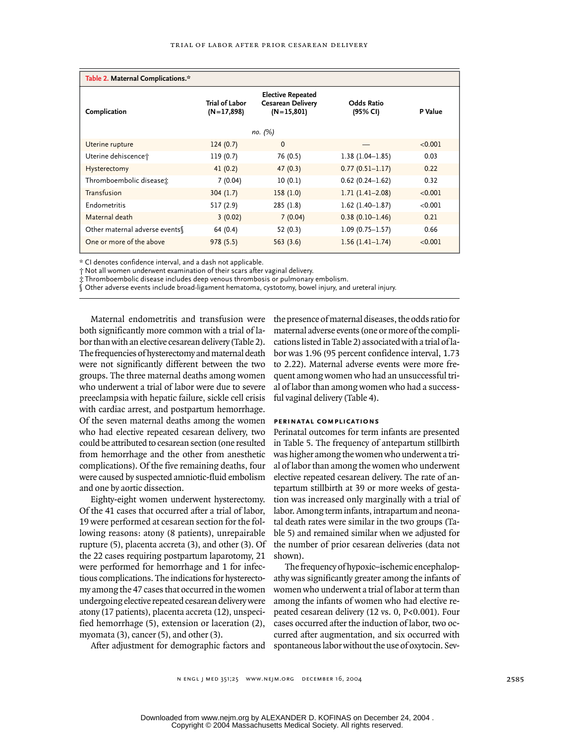| Table 2. Maternal Complications.* |                                       |                                                                      |                               |         |
|-----------------------------------|---------------------------------------|----------------------------------------------------------------------|-------------------------------|---------|
| Complication                      | <b>Trial of Labor</b><br>$(N=17,898)$ | <b>Elective Repeated</b><br><b>Cesarean Delivery</b><br>$(N=15,801)$ | <b>Odds Ratio</b><br>(95% CI) | P Value |
|                                   |                                       | no. (%)                                                              |                               |         |
| Uterine rupture                   | 124(0.7)                              | $\Omega$                                                             |                               | < 0.001 |
| Uterine dehiscence;               | 119(0.7)                              | 76 (0.5)                                                             | $1.38(1.04 - 1.85)$           | 0.03    |
| Hysterectomy                      | 41(0.2)                               | 47(0.3)                                                              | $0.77(0.51 - 1.17)$           | 0.22    |
| Thromboembolic disease *          | 7(0.04)                               | 10(0.1)                                                              | $0.62(0.24 - 1.62)$           | 0.32    |
| Transfusion                       | 304(1.7)                              | 158(1.0)                                                             | $1.71(1.41-2.08)$             | < 0.001 |
| Endometritis                      | 517(2.9)                              | 285(1.8)                                                             | $1.62$ (1.40-1.87)            | < 0.001 |
| Maternal death                    | 3(0.02)                               | 7(0.04)                                                              | $0.38(0.10 - 1.46)$           | 0.21    |
| Other maternal adverse events     | 64 (0.4)                              | 52(0.3)                                                              | $1.09(0.75 - 1.57)$           | 0.66    |
| One or more of the above          | 978(5.5)                              | 563(3.6)                                                             | $1.56(1.41-1.74)$             | < 0.001 |

\* CI denotes confidence interval, and a dash not applicable.

† Not all women underwent examination of their scars after vaginal delivery.

‡ Thromboembolic disease includes deep venous thrombosis or pulmonary embolism.

§ Other adverse events include broad-ligament hematoma, cystotomy, bowel injury, and ureteral injury.

Maternal endometritis and transfusion were both significantly more common with a trial of labor than with an elective cesarean delivery (Table 2). The frequencies of hysterectomy and maternal death were not significantly different between the two groups. The three maternal deaths among women who underwent a trial of labor were due to severe preeclampsia with hepatic failure, sickle cell crisis with cardiac arrest, and postpartum hemorrhage. Of the seven maternal deaths among the women who had elective repeated cesarean delivery, two could be attributed to cesarean section (one resulted from hemorrhage and the other from anesthetic complications). Of the five remaining deaths, four were caused by suspected amniotic-fluid embolism and one by aortic dissection.

Eighty-eight women underwent hysterectomy. Of the 41 cases that occurred after a trial of labor, 19 were performed at cesarean section for the following reasons: atony (8 patients), unrepairable rupture (5), placenta accreta (3), and other (3). Of the 22 cases requiring postpartum laparotomy, 21 were performed for hemorrhage and 1 for infectious complications. The indications for hysterectomy among the 47 cases that occurred in the women undergoing elective repeated cesarean delivery were atony (17 patients), placenta accreta (12), unspecified hemorrhage (5), extension or laceration (2), myomata (3), cancer (5), and other (3).

After adjustment for demographic factors and

the presence of maternal diseases, the odds ratio for maternal adverse events (one or more of the complications listed in Table 2) associated with a trial of labor was 1.96 (95 percent confidence interval, 1.73 to 2.22). Maternal adverse events were more frequent among women who had an unsuccessful trial of labor than among women who had a successful vaginal delivery (Table 4).

#### **perinatal complications**

Perinatal outcomes for term infants are presented in Table 5. The frequency of antepartum stillbirth was higher among the women who underwent a trial of labor than among the women who underwent elective repeated cesarean delivery. The rate of antepartum stillbirth at 39 or more weeks of gestation was increased only marginally with a trial of labor. Among term infants, intrapartum and neonatal death rates were similar in the two groups (Table 5) and remained similar when we adjusted for the number of prior cesarean deliveries (data not shown).

The frequency of hypoxic–ischemic encephalopathy was significantly greater among the infants of women who underwent a trial of labor at term than among the infants of women who had elective repeated cesarean delivery (12 vs. 0, P<0.001). Four cases occurred after the induction of labor, two occurred after augmentation, and six occurred with spontaneous labor without the use of oxytocin. Sev-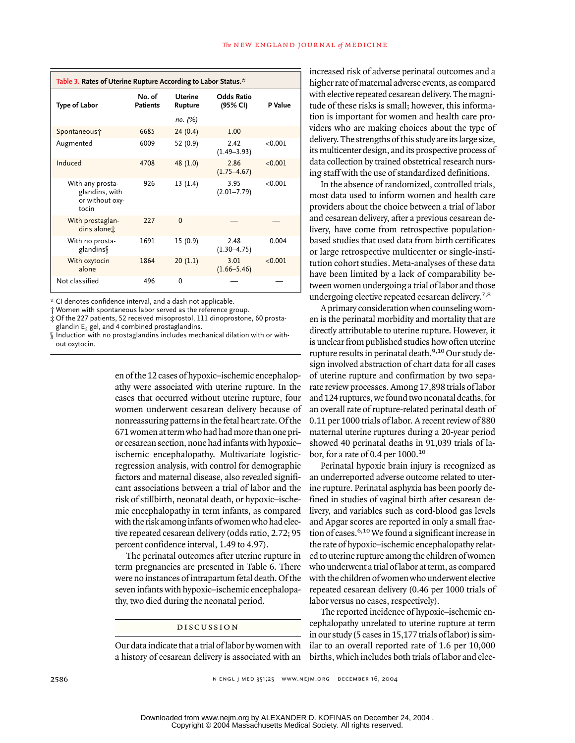| Table 3. Rates of Uterine Rupture According to Labor Status.*  |                           |                           |                               |         |
|----------------------------------------------------------------|---------------------------|---------------------------|-------------------------------|---------|
| <b>Type of Labor</b>                                           | No. of<br><b>Patients</b> | <b>Uterine</b><br>Rupture | <b>Odds Ratio</b><br>(95% CI) | P Value |
|                                                                |                           | no. (%)                   |                               |         |
| Spontaneous <sup>+</sup>                                       | 6685                      | 24(0.4)                   | 1.00                          |         |
| Augmented                                                      | 6009                      | 52 (0.9)                  | 2.42<br>$(1.49 - 3.93)$       | < 0.001 |
| Induced                                                        | 4708                      | 48 (1.0)                  | 2.86<br>$(1.75 - 4.67)$       | < 0.001 |
| With any prosta-<br>glandins, with<br>or without oxy-<br>tocin | 926                       | 13(1.4)                   | 3.95<br>$(2.01 - 7.79)$       | <0.001  |
| With prostaglan-<br>dins alone:                                | 227                       | $\mathbf 0$               |                               |         |
| With no prosta-<br>glandins                                    | 1691                      | 15(0.9)                   | 2.48<br>$(1.30 - 4.75)$       | 0.004   |
| With oxytocin<br>alone                                         | 1864                      | 20(1.1)                   | 3.01<br>$(1.66 - 5.46)$       | < 0.001 |
| Not classified                                                 | 496                       | $\Omega$                  |                               |         |

\* CI denotes confidence interval, and a dash not applicable.

† Women with spontaneous labor served as the reference group.

‡ Of the 227 patients, 52 received misoprostol, 111 dinoprostone, 60 prostaglandin  $E<sub>2</sub>$  gel, and 4 combined prostaglandins.

§ Induction with no prostaglandins includes mechanical dilation with or without oxytocin.

> en of the 12 cases of hypoxic–ischemic encephalopathy were associated with uterine rupture. In the cases that occurred without uterine rupture, four women underwent cesarean delivery because of nonreassuring patterns in the fetal heart rate. Of the 671 women at term who had had more than one prior cesarean section, none had infants with hypoxic– ischemic encephalopathy. Multivariate logisticregression analysis, with control for demographic factors and maternal disease, also revealed significant associations between a trial of labor and the risk of stillbirth, neonatal death, or hypoxic–ischemic encephalopathy in term infants, as compared with the risk among infants of women who had elective repeated cesarean delivery (odds ratio, 2.72; 95 percent confidence interval, 1.49 to 4.97).

> The perinatal outcomes after uterine rupture in term pregnancies are presented in Table 6. There were no instances of intrapartum fetal death. Of the seven infants with hypoxic–ischemic encephalopathy, two died during the neonatal period.

### discussion

Our data indicate that a trial of labor by women with

increased risk of adverse perinatal outcomes and a higher rate of maternal adverse events, as compared with elective repeated cesarean delivery. The magnitude of these risks is small; however, this information is important for women and health care providers who are making choices about the type of delivery. The strengths of this study are its large size, its multicenter design, and its prospective process of data collection by trained obstetrical research nursing staff with the use of standardized definitions.

In the absence of randomized, controlled trials, most data used to inform women and health care providers about the choice between a trial of labor and cesarean delivery, after a previous cesarean delivery, have come from retrospective populationbased studies that used data from birth certificates or large retrospective multicenter or single-institution cohort studies. Meta-analyses of these data have been limited by a lack of comparability between women undergoing a trial of labor and those undergoing elective repeated cesarean delivery.7,8

A primary consideration when counseling women is the perinatal morbidity and mortality that are directly attributable to uterine rupture. However, it is unclear from published studies how often uterine rupture results in perinatal death.9,10 Our study design involved abstraction of chart data for all cases of uterine rupture and confirmation by two separate review processes. Among 17,898 trials of labor and 124 ruptures, we found two neonatal deaths, for an overall rate of rupture-related perinatal death of 0.11 per 1000 trials of labor. A recent review of 880 maternal uterine ruptures during a 20-year period showed 40 perinatal deaths in 91,039 trials of labor, for a rate of 0.4 per 1000.<sup>10</sup>

Perinatal hypoxic brain injury is recognized as an underreported adverse outcome related to uterine rupture. Perinatal asphyxia has been poorly defined in studies of vaginal birth after cesarean delivery, and variables such as cord-blood gas levels and Apgar scores are reported in only a small fraction of cases.<sup>6,10</sup> We found a significant increase in the rate of hypoxic–ischemic encephalopathy related to uterine rupture among the children of women who underwent a trial of labor at term, as compared with the children of women who underwent elective repeated cesarean delivery (0.46 per 1000 trials of labor versus no cases, respectively).

a history of cesarean delivery is associated with an births, which includes both trials of labor and elec-The reported incidence of hypoxic–ischemic encephalopathy unrelated to uterine rupture at term in our study (5 cases in 15,177 trials of labor) is similar to an overall reported rate of 1.6 per 10,000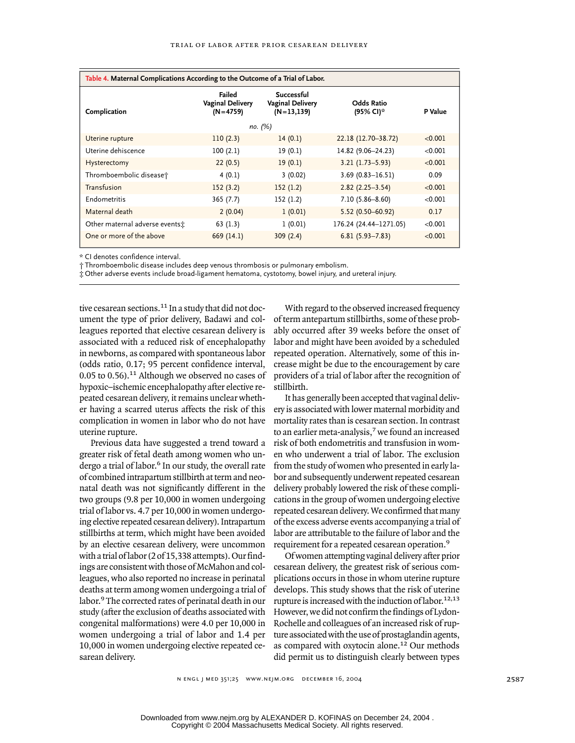| Table 4. Maternal Complications According to the Outcome of a Trial of Labor. |                                                 |                                                       |                                |         |
|-------------------------------------------------------------------------------|-------------------------------------------------|-------------------------------------------------------|--------------------------------|---------|
| Complication                                                                  | Failed<br><b>Vaginal Delivery</b><br>$(N=4759)$ | Successful<br><b>Vaginal Delivery</b><br>$(N=13,139)$ | <b>Odds Ratio</b><br>(95% CI)* | P Value |
|                                                                               |                                                 | no. (%)                                               |                                |         |
| Uterine rupture                                                               | 110(2.3)                                        | 14(0.1)                                               | 22.18 (12.70-38.72)            | < 0.001 |
| Uterine dehiscence                                                            | 100(2.1)                                        | 19(0.1)                                               | 14.82 (9.06-24.23)             | < 0.001 |
| Hysterectomy                                                                  | 22(0.5)                                         | 19(0.1)                                               | $3.21(1.73 - 5.93)$            | < 0.001 |
| Thromboembolic disease;                                                       | 4(0.1)                                          | 3(0.02)                                               | $3.69(0.83 - 16.51)$           | 0.09    |
| Transfusion                                                                   | 152(3.2)                                        | 152(1.2)                                              | $2.82(2.25 - 3.54)$            | < 0.001 |
| Endometritis                                                                  | 365(7.7)                                        | 152(1.2)                                              | $7.10(5.86 - 8.60)$            | < 0.001 |
| Maternal death                                                                | 2(0.04)                                         | 1(0.01)                                               | 5.52 (0.50-60.92)              | 0.17    |
| Other maternal adverse events:                                                | 63(1.3)                                         | 1(0.01)                                               | 176.24 (24.44-1271.05)         | < 0.001 |
| One or more of the above                                                      | 669 (14.1)                                      | 309(2.4)                                              | $6.81(5.93 - 7.83)$            | < 0.001 |

\* CI denotes confidence interval.

† Thromboembolic disease includes deep venous thrombosis or pulmonary embolism.

‡ Other adverse events include broad-ligament hematoma, cystotomy, bowel injury, and ureteral injury.

tive cesarean sections.<sup>11</sup> In a study that did not document the type of prior delivery, Badawi and colleagues reported that elective cesarean delivery is associated with a reduced risk of encephalopathy in newborns, as compared with spontaneous labor (odds ratio, 0.17; 95 percent confidence interval, 0.05 to 0.56).11 Although we observed no cases of hypoxic–ischemic encephalopathy after elective repeated cesarean delivery, it remains unclear whether having a scarred uterus affects the risk of this complication in women in labor who do not have uterine rupture.

Previous data have suggested a trend toward a greater risk of fetal death among women who undergo a trial of labor.<sup>6</sup> In our study, the overall rate of combined intrapartum stillbirth at term and neonatal death was not significantly different in the two groups (9.8 per 10,000 in women undergoing trial of labor vs. 4.7 per 10,000 in women undergoing elective repeated cesarean delivery). Intrapartum stillbirths at term, which might have been avoided by an elective cesarean delivery, were uncommon with a trial of labor (2 of 15,338 attempts). Our findings are consistent with those of McMahon and colleagues, who also reported no increase in perinatal deaths at term among women undergoing a trial of labor.9 The corrected rates of perinatal death in our study (after the exclusion of deaths associated with congenital malformations) were 4.0 per 10,000 in women undergoing a trial of labor and 1.4 per 10,000 in women undergoing elective repeated cesarean delivery.

With regard to the observed increased frequency of term antepartum stillbirths, some of these probably occurred after 39 weeks before the onset of labor and might have been avoided by a scheduled repeated operation. Alternatively, some of this increase might be due to the encouragement by care providers of a trial of labor after the recognition of stillbirth.

It has generally been accepted that vaginal delivery is associated with lower maternal morbidity and mortality rates than is cesarean section. In contrast to an earlier meta-analysis,<sup>7</sup> we found an increased risk of both endometritis and transfusion in women who underwent a trial of labor. The exclusion from the study of women who presented in early labor and subsequently underwent repeated cesarean delivery probably lowered the risk of these complications in the group of women undergoing elective repeated cesarean delivery. We confirmed that many of the excess adverse events accompanying a trial of labor are attributable to the failure of labor and the requirement for a repeated cesarean operation.<sup>9</sup>

Of women attempting vaginal delivery after prior cesarean delivery, the greatest risk of serious complications occurs in those in whom uterine rupture develops. This study shows that the risk of uterine rupture is increased with the induction of labor.<sup>12,13</sup> However, we did not confirm the findings of Lydon-Rochelle and colleagues of an increased risk of rupture associated with the use of prostaglandin agents, as compared with oxytocin alone.<sup>12</sup> Our methods did permit us to distinguish clearly between types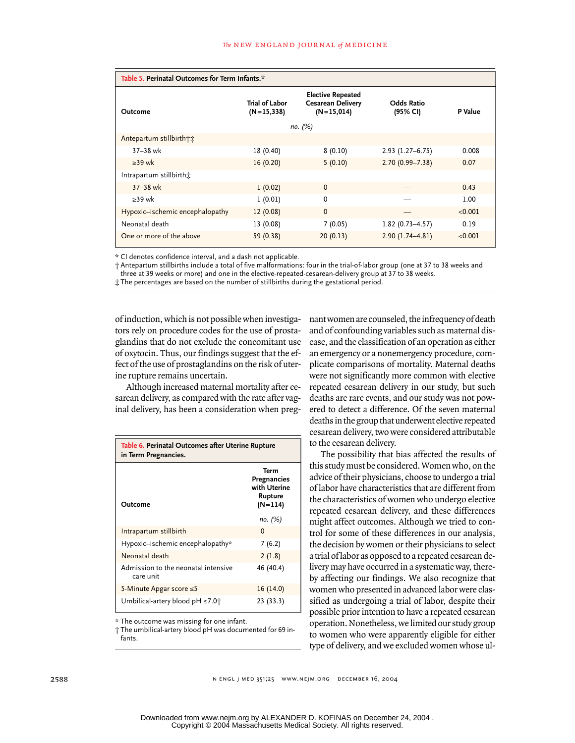| Table 5. Perinatal Outcomes for Term Infants.* |                                       |                                                                                 |                               |         |
|------------------------------------------------|---------------------------------------|---------------------------------------------------------------------------------|-------------------------------|---------|
| Outcome                                        | <b>Trial of Labor</b><br>$(N=15,338)$ | <b>Elective Repeated</b><br><b>Cesarean Delivery</b><br>$(N=15,014)$<br>no. (%) | <b>Odds Ratio</b><br>(95% CI) | P Value |
| Antepartum stillbirth†*                        |                                       |                                                                                 |                               |         |
| $37 - 38$ wk                                   | 18 (0.40)                             | 8(0.10)                                                                         | $2.93(1.27 - 6.75)$           | 0.008   |
| $>39$ wk                                       | 16(0.20)                              | 5(0.10)                                                                         | 2.70 (0.99-7.38)              | 0.07    |
| Intrapartum stillbirth*                        |                                       |                                                                                 |                               |         |
| $37 - 38$ wk                                   | 1(0.02)                               | $\mathbf{0}$                                                                    |                               | 0.43    |
| $\geq$ 39 wk                                   | 1(0.01)                               | $\Omega$                                                                        |                               | 1.00    |
| Hypoxic-ischemic encephalopathy                | 12(0.08)                              | $\Omega$                                                                        |                               | < 0.001 |
| Neonatal death                                 | 13 (0.08)                             | 7(0.05)                                                                         | $1.82(0.73 - 4.57)$           | 0.19    |
| One or more of the above                       | 59 (0.38)                             | 20(0.13)                                                                        | $2.90(1.74 - 4.81)$           | < 0.001 |

\* CI denotes confidence interval, and a dash not applicable.

† Antepartum stillbirths include a total of five malformations: four in the trial-of-labor group (one at 37 to 38 weeks and three at 39 weeks or more) and one in the elective-repeated-cesarean-delivery group at 37 to 38 weeks.

‡ The percentages are based on the number of stillbirths during the gestational period.

of induction, which is not possible when investigators rely on procedure codes for the use of prostaglandins that do not exclude the concomitant use of oxytocin. Thus, our findings suggest that the effect of the use of prostaglandins on the risk of uterine rupture remains uncertain.

Although increased maternal mortality after cesarean delivery, as compared with the rate after vaginal delivery, has been a consideration when preg-

| Table 6. Perinatal Outcomes after Uterine Rupture<br>in Term Pregnancies. |                                                             |  |  |
|---------------------------------------------------------------------------|-------------------------------------------------------------|--|--|
| Outcome                                                                   | Term<br>Pregnancies<br>with Uterine<br>Rupture<br>$(N=114)$ |  |  |
|                                                                           | no. (%)                                                     |  |  |
| Intrapartum stillbirth                                                    | $\Omega$                                                    |  |  |
| Hypoxic-ischemic encephalopathy*                                          | 7 (6.2)                                                     |  |  |
| Neonatal death                                                            | 2(1.8)                                                      |  |  |
| Admission to the neonatal intensive<br>care unit                          | 46 (40.4)                                                   |  |  |
| 5-Minute Apgar score ≤5                                                   | 16(14.0)                                                    |  |  |
| Umbilical-artery blood $pH \le 7.0$ <sup>+</sup>                          | 23 (33.3)                                                   |  |  |

\* The outcome was missing for one infant.

† The umbilical-artery blood pH was documented for 69 infants.

nant women are counseled, the infrequency of death and of confounding variables such as maternal disease, and the classification of an operation as either an emergency or a nonemergency procedure, complicate comparisons of mortality. Maternal deaths were not significantly more common with elective repeated cesarean delivery in our study, but such deaths are rare events, and our study was not powered to detect a difference. Of the seven maternal deaths in the group that underwent elective repeated cesarean delivery, two were considered attributable to the cesarean delivery.

The possibility that bias affected the results of this study must be considered. Women who, on the advice of their physicians, choose to undergo a trial of labor have characteristics that are different from the characteristics of women who undergo elective repeated cesarean delivery, and these differences might affect outcomes. Although we tried to control for some of these differences in our analysis, the decision by women or their physicians to select a trial of labor as opposed to a repeated cesarean delivery may have occurred in a systematic way, thereby affecting our findings. We also recognize that women who presented in advanced labor were classified as undergoing a trial of labor, despite their possible prior intention to have a repeated cesarean operation. Nonetheless, we limited our study group to women who were apparently eligible for either type of delivery, and we excluded women whose ul-